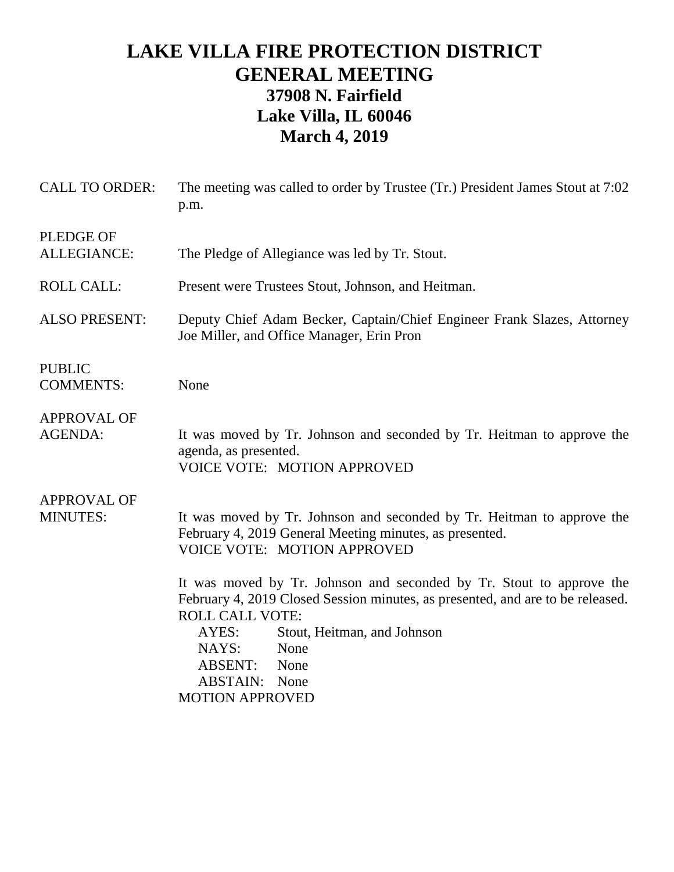## **LAKE VILLA FIRE PROTECTION DISTRICT GENERAL MEETING 37908 N. Fairfield Lake Villa, IL 60046 March 4, 2019**

| <b>CALL TO ORDER:</b>                  | The meeting was called to order by Trustee (Tr.) President James Stout at 7:02<br>p.m.                                                                                                                                                                                                                                                                                                                                                                                                    |
|----------------------------------------|-------------------------------------------------------------------------------------------------------------------------------------------------------------------------------------------------------------------------------------------------------------------------------------------------------------------------------------------------------------------------------------------------------------------------------------------------------------------------------------------|
| <b>PLEDGE OF</b><br><b>ALLEGIANCE:</b> | The Pledge of Allegiance was led by Tr. Stout.                                                                                                                                                                                                                                                                                                                                                                                                                                            |
| <b>ROLL CALL:</b>                      | Present were Trustees Stout, Johnson, and Heitman.                                                                                                                                                                                                                                                                                                                                                                                                                                        |
| <b>ALSO PRESENT:</b>                   | Deputy Chief Adam Becker, Captain/Chief Engineer Frank Slazes, Attorney<br>Joe Miller, and Office Manager, Erin Pron                                                                                                                                                                                                                                                                                                                                                                      |
| <b>PUBLIC</b><br><b>COMMENTS:</b>      | None                                                                                                                                                                                                                                                                                                                                                                                                                                                                                      |
| <b>APPROVAL OF</b><br><b>AGENDA:</b>   | It was moved by Tr. Johnson and seconded by Tr. Heitman to approve the<br>agenda, as presented.<br><b>VOICE VOTE: MOTION APPROVED</b>                                                                                                                                                                                                                                                                                                                                                     |
| <b>APPROVAL OF</b><br><b>MINUTES:</b>  | It was moved by Tr. Johnson and seconded by Tr. Heitman to approve the<br>February 4, 2019 General Meeting minutes, as presented.<br><b>VOICE VOTE: MOTION APPROVED</b><br>It was moved by Tr. Johnson and seconded by Tr. Stout to approve the<br>February 4, 2019 Closed Session minutes, as presented, and are to be released.<br><b>ROLL CALL VOTE:</b><br>Stout, Heitman, and Johnson<br>AYES:<br>NAYS:<br>None<br>ABSENT:<br>None<br><b>ABSTAIN:</b> None<br><b>MOTION APPROVED</b> |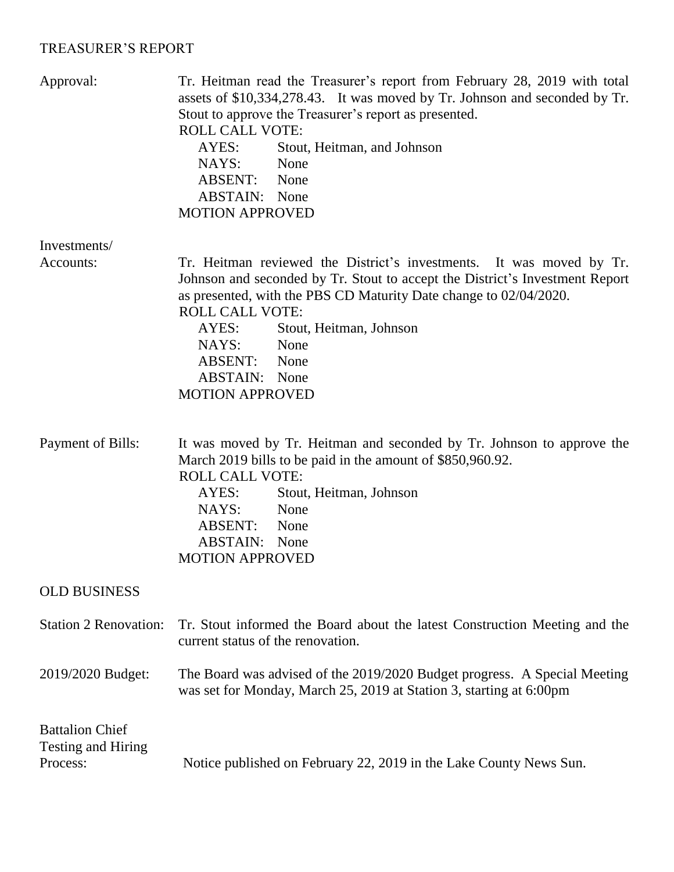## TREASURER'S REPORT

| Approval:                                                | Tr. Heitman read the Treasurer's report from February 28, 2019 with total<br>assets of \$10,334,278.43. It was moved by Tr. Johnson and seconded by Tr.<br>Stout to approve the Treasurer's report as presented.<br><b>ROLL CALL VOTE:</b><br>Stout, Heitman, and Johnson<br>AYES:<br>NAYS:<br>None<br>ABSENT:<br>None<br><b>ABSTAIN:</b> None<br><b>MOTION APPROVED</b>   |
|----------------------------------------------------------|----------------------------------------------------------------------------------------------------------------------------------------------------------------------------------------------------------------------------------------------------------------------------------------------------------------------------------------------------------------------------|
| Investments/                                             |                                                                                                                                                                                                                                                                                                                                                                            |
| Accounts:                                                | Tr. Heitman reviewed the District's investments. It was moved by Tr.<br>Johnson and seconded by Tr. Stout to accept the District's Investment Report<br>as presented, with the PBS CD Maturity Date change to 02/04/2020.<br><b>ROLL CALL VOTE:</b><br>Stout, Heitman, Johnson<br>AYES:<br>None<br>NAYS:<br>ABSENT: None<br><b>ABSTAIN:</b> None<br><b>MOTION APPROVED</b> |
| Payment of Bills:                                        | It was moved by Tr. Heitman and seconded by Tr. Johnson to approve the<br>March 2019 bills to be paid in the amount of \$850,960.92.<br><b>ROLL CALL VOTE:</b><br>AYES:<br>Stout, Heitman, Johnson<br>NAYS:<br>None<br>ABSENT:<br>None<br><b>ABSTAIN:</b> None<br><b>MOTION APPROVED</b>                                                                                   |
| <b>OLD BUSINESS</b>                                      |                                                                                                                                                                                                                                                                                                                                                                            |
| <b>Station 2 Renovation:</b>                             | Tr. Stout informed the Board about the latest Construction Meeting and the<br>current status of the renovation.                                                                                                                                                                                                                                                            |
| 2019/2020 Budget:                                        | The Board was advised of the 2019/2020 Budget progress. A Special Meeting<br>was set for Monday, March 25, 2019 at Station 3, starting at 6:00pm                                                                                                                                                                                                                           |
| <b>Battalion Chief</b><br>Testing and Hiring<br>Process: | Notice published on February 22, 2019 in the Lake County News Sun.                                                                                                                                                                                                                                                                                                         |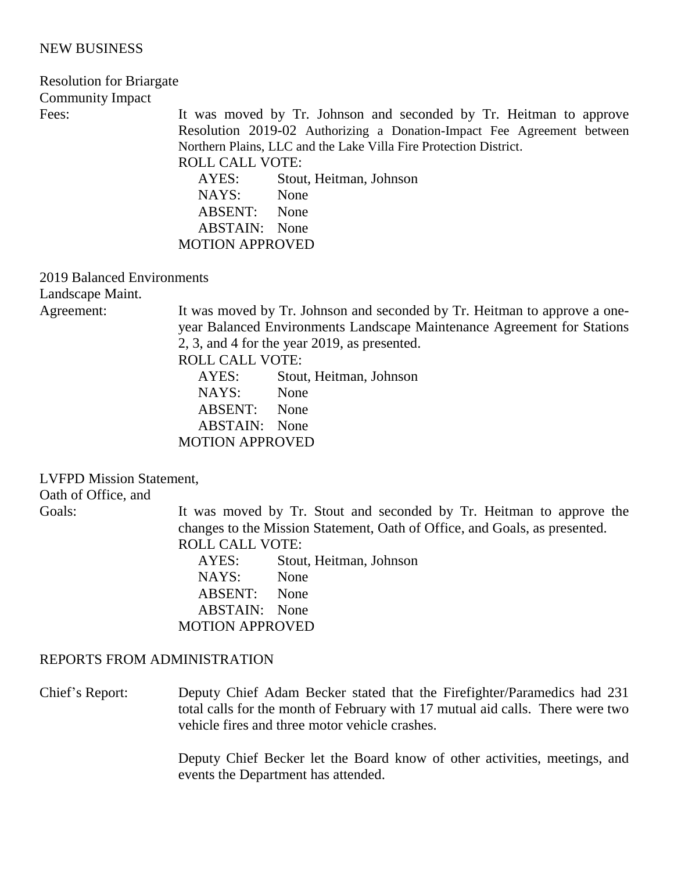## NEW BUSINESS

| <b>Resolution for Briargate</b>                |                                                                                                                                                                                                                                                                                                                                       |
|------------------------------------------------|---------------------------------------------------------------------------------------------------------------------------------------------------------------------------------------------------------------------------------------------------------------------------------------------------------------------------------------|
| <b>Community Impact</b>                        |                                                                                                                                                                                                                                                                                                                                       |
| Fees:                                          | It was moved by Tr. Johnson and seconded by Tr. Heitman to approve<br>Resolution 2019-02 Authorizing a Donation-Impact Fee Agreement between<br>Northern Plains, LLC and the Lake Villa Fire Protection District.<br><b>ROLL CALL VOTE:</b><br>AYES:<br>Stout, Heitman, Johnson<br>NAYS: None<br>ABSENT: None<br><b>ABSTAIN:</b> None |
|                                                | <b>MOTION APPROVED</b>                                                                                                                                                                                                                                                                                                                |
| 2019 Balanced Environments<br>Landscape Maint. |                                                                                                                                                                                                                                                                                                                                       |
| Agreement:                                     | It was moved by Tr. Johnson and seconded by Tr. Heitman to approve a one-<br>year Balanced Environments Landscape Maintenance Agreement for Stations<br>2, 3, and 4 for the year 2019, as presented.<br><b>ROLL CALL VOTE:</b><br>AYES:<br>Stout, Heitman, Johnson<br>NAYS:<br>None                                                   |

ABSENT: None ABSTAIN: None

MOTION APPROVED

LVFPD Mission Statement, Oath of Office, and

Goals: It was moved by Tr. Stout and seconded by Tr. Heitman to approve the changes to the Mission Statement, Oath of Office, and Goals, as presented. ROLL CALL VOTE:

AYES: Stout, Heitman, Johnson NAYS: None ABSENT: None ABSTAIN: None MOTION APPROVED

## REPORTS FROM ADMINISTRATION

Chief's Report: Deputy Chief Adam Becker stated that the Firefighter/Paramedics had 231 total calls for the month of February with 17 mutual aid calls. There were two vehicle fires and three motor vehicle crashes.

> Deputy Chief Becker let the Board know of other activities, meetings, and events the Department has attended.